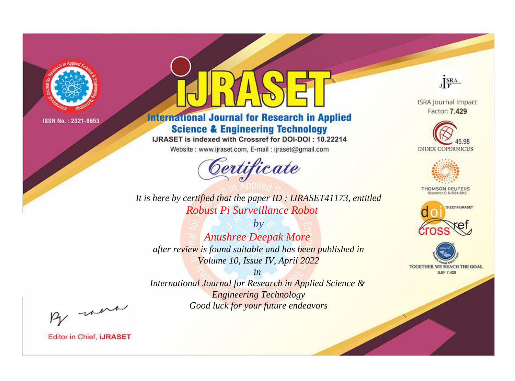

# **International Journal for Research in Applied Science & Engineering Technology**

IJRASET is indexed with Crossref for DOI-DOI: 10.22214

Website: www.ijraset.com, E-mail: ijraset@gmail.com



JERA

**ISRA Journal Impact** Factor: 7.429





**THOMSON REUTERS** 



TOGETHER WE REACH THE GOAL **SJIF 7.429** 

It is here by certified that the paper ID: IJRASET41173, entitled Robust Pi Surveillance Robot

 $by$ **Anushree Deepak More** after review is found suitable and has been published in Volume 10, Issue IV, April 2022

 $in$ International Journal for Research in Applied Science & **Engineering Technology** Good luck for your future endeavors

By morn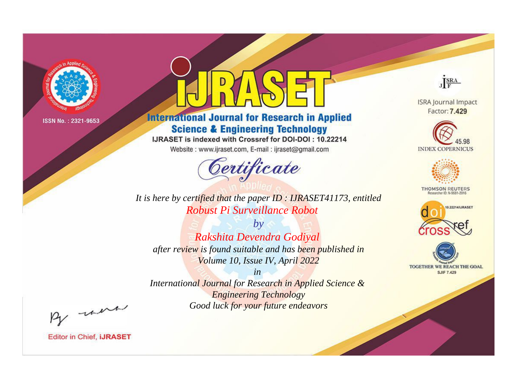

# **International Journal for Research in Applied Science & Engineering Technology**

IJRASET is indexed with Crossref for DOI-DOI: 10.22214

Website: www.ijraset.com, E-mail: ijraset@gmail.com



JERA

**ISRA Journal Impact** Factor: 7.429





**THOMSON REUTERS** 



TOGETHER WE REACH THE GOAL **SJIF 7.429** 

*It is here by certified that the paper ID : IJRASET41173, entitled Robust Pi Surveillance Robot*

*by Rakshita Devendra Godiyal after review is found suitable and has been published in Volume 10, Issue IV, April 2022*

*in* 

*International Journal for Research in Applied Science & Engineering Technology Good luck for your future endeavors*

By morn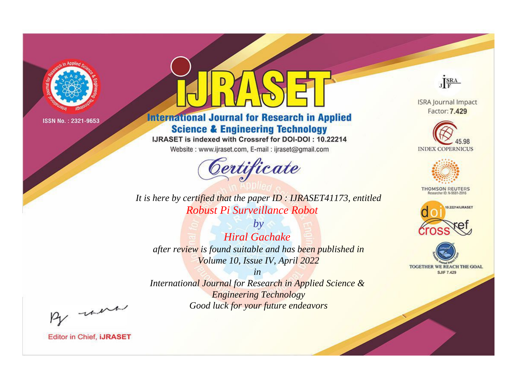

# **International Journal for Research in Applied Science & Engineering Technology**

IJRASET is indexed with Crossref for DOI-DOI: 10.22214

Website: www.ijraset.com, E-mail: ijraset@gmail.com



*It is here by certified that the paper ID : IJRASET41173, entitled Robust Pi Surveillance Robot*

*by Hiral Gachake after review is found suitable and has been published in Volume 10, Issue IV, April 2022*

*in International Journal for Research in Applied Science & Engineering Technology Good luck for your future endeavors*



**ISRA Journal Impact** Factor: 7.429





**THOMSON REUTERS** 





By morn